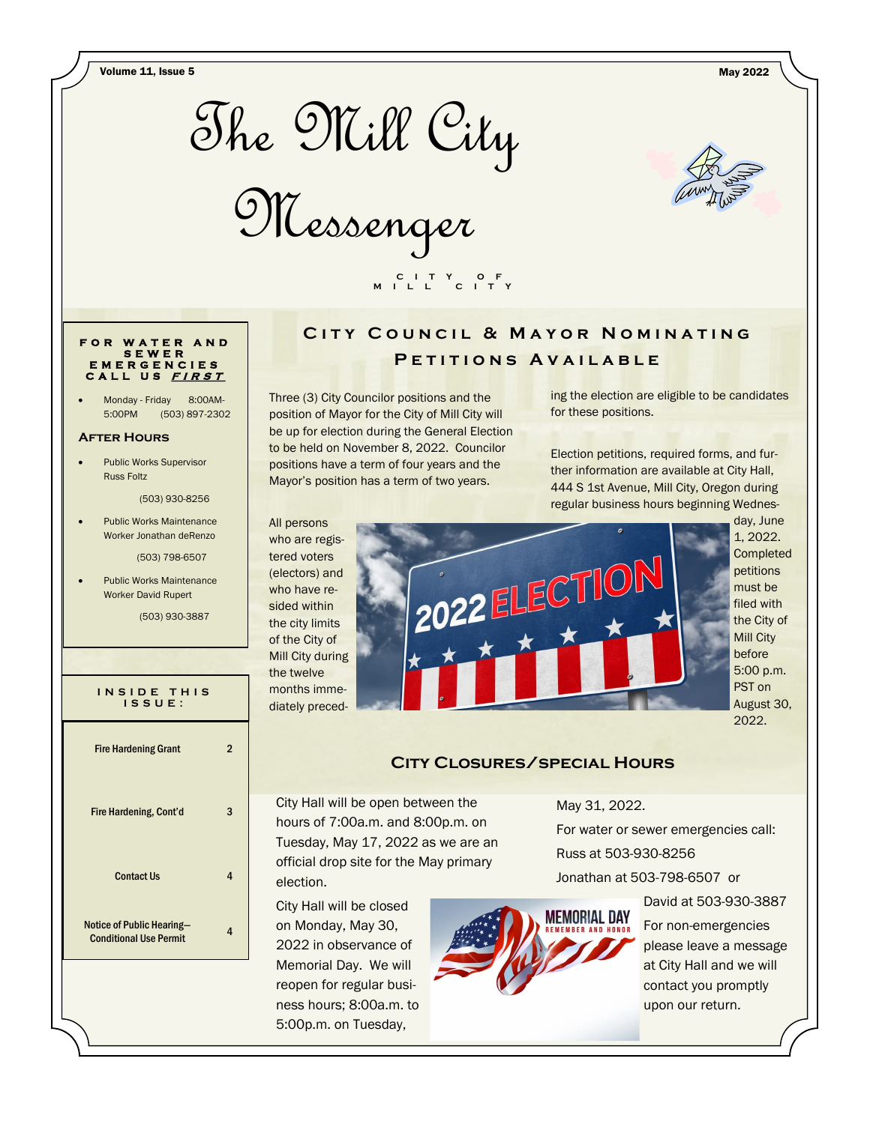Volume 11, Issue 5 May 2022



Messenger



#### **F O R W A T E R A N D S E W E R E M E R G E N C I E S C A L L U S <sup>F</sup> <sup>I</sup> <sup>R</sup> <sup>S</sup> <sup>T</sup>**

Monday - Friday 8:00AM-5:00PM (503) 897-2302

#### **After Hours**

Public Works Supervisor Russ Foltz

(503) 930-8256

Public Works Maintenance Worker Jonathan deRenzo

(503) 798-6507

Public Works Maintenance Worker David Rupert

(503) 930-3887

**I N S I D E T H I S I S S U E :** Fire Hardening Grant 2 Fire Hardening, Cont'd 3 Contact Us 4 Notice of Public Hearing— **Conditional Use Permit** 4

# CITY COUNCIL & MAYOR NOMINATING P E T I T I O N S A V A I L A B L E

Three (3) City Councilor positions and the position of Mayor for the City of Mill City will be up for election during the General Election to be held on November 8, 2022. Councilor positions have a term of four years and the Mayor's position has a term of two years.

 **C I T Y O F M I L L C I T Y**

ing the election are eligible to be candidates for these positions.

Election petitions, required forms, and further information are available at City Hall, 444 S 1st Avenue, Mill City, Oregon during regular business hours beginning Wednes-

All persons who are registered voters (electors) and who have resided within the city limits of the City of Mill City during the twelve months immediately preced-



day, June 1, 2022. **Completed** petitions must be filed with the City of Mill City before 5:00 p.m. PST on August 30, 2022.

### **City Closures/special Hours**

City Hall will be open between the hours of 7:00a.m. and 8:00p.m. on Tuesday, May 17, 2022 as we are an official drop site for the May primary election.

City Hall will be closed on Monday, May 30, 2022 in observance of Memorial Day. We will reopen for regular business hours; 8:00a.m. to 5:00p.m. on Tuesday,

May 31, 2022.

For water or sewer emergencies call: Russ at 503-930-8256 Jonathan at 503-798-6507 or



David at 503-930-3887 For non-emergencies please leave a message at City Hall and we will contact you promptly upon our return.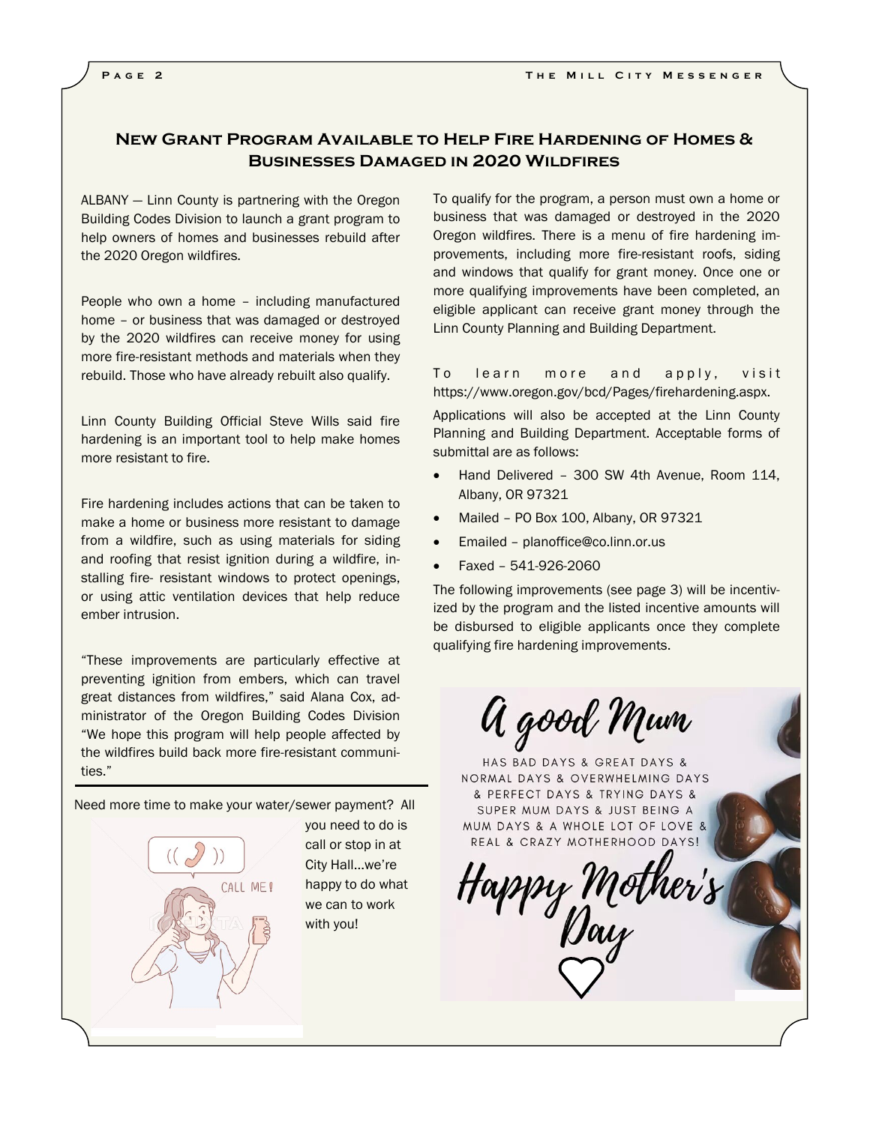## **New Grant Program Available to Help Fire Hardening of Homes & Businesses Damaged in 2020 Wildfires**

ALBANY — Linn County is partnering with the Oregon Building Codes Division to launch a grant program to help owners of homes and businesses rebuild after the 2020 Oregon wildfires.

People who own a home – including manufactured home – or business that was damaged or destroyed by the 2020 wildfires can receive money for using more fire-resistant methods and materials when they rebuild. Those who have already rebuilt also qualify.

Linn County Building Official Steve Wills said fire hardening is an important tool to help make homes more resistant to fire.

Fire hardening includes actions that can be taken to make a home or business more resistant to damage from a wildfire, such as using materials for siding and roofing that resist ignition during a wildfire, installing fire- resistant windows to protect openings, or using attic ventilation devices that help reduce ember intrusion.

"These improvements are particularly effective at preventing ignition from embers, which can travel great distances from wildfires," said Alana Cox, administrator of the Oregon Building Codes Division "We hope this program will help people affected by the wildfires build back more fire-resistant communities."

Need more time to make your water/sewer payment? All

CALL ME!

you need to do is call or stop in at City Hall...we're happy to do what we can to work with you!

To qualify for the program, a person must own a home or business that was damaged or destroyed in the 2020 Oregon wildfires. There is a menu of fire hardening improvements, including more fire-resistant roofs, siding and windows that qualify for grant money. Once one or more qualifying improvements have been completed, an eligible applicant can receive grant money through the Linn County Planning and Building Department.

To learn more and apply, visit https://www.oregon.gov/bcd/Pages/firehardening.aspx.

Applications will also be accepted at the Linn County Planning and Building Department. Acceptable forms of submittal are as follows:

- Hand Delivered 300 SW 4th Avenue, Room 114, Albany, OR 97321
- Mailed PO Box 100, Albany, OR 97321
- Emailed planoffice@co.linn.or.us
- Faxed 541-926-2060

The following improvements (see page 3) will be incentivized by the program and the listed incentive amounts will be disbursed to eligible applicants once they complete qualifying fire hardening improvements.

A good Mum

HAS BAD DAYS & GREAT DAYS & NORMAL DAYS & OVERWHELMING DAYS & PERFECT DAYS & TRYING DAYS & SUPER MUM DAYS & JUST BEING A MUM DAYS & A WHOLE LOT OF LOVE & REAL & CRAZY MOTHERHOOD DAYS!

Happy Mother<br>Day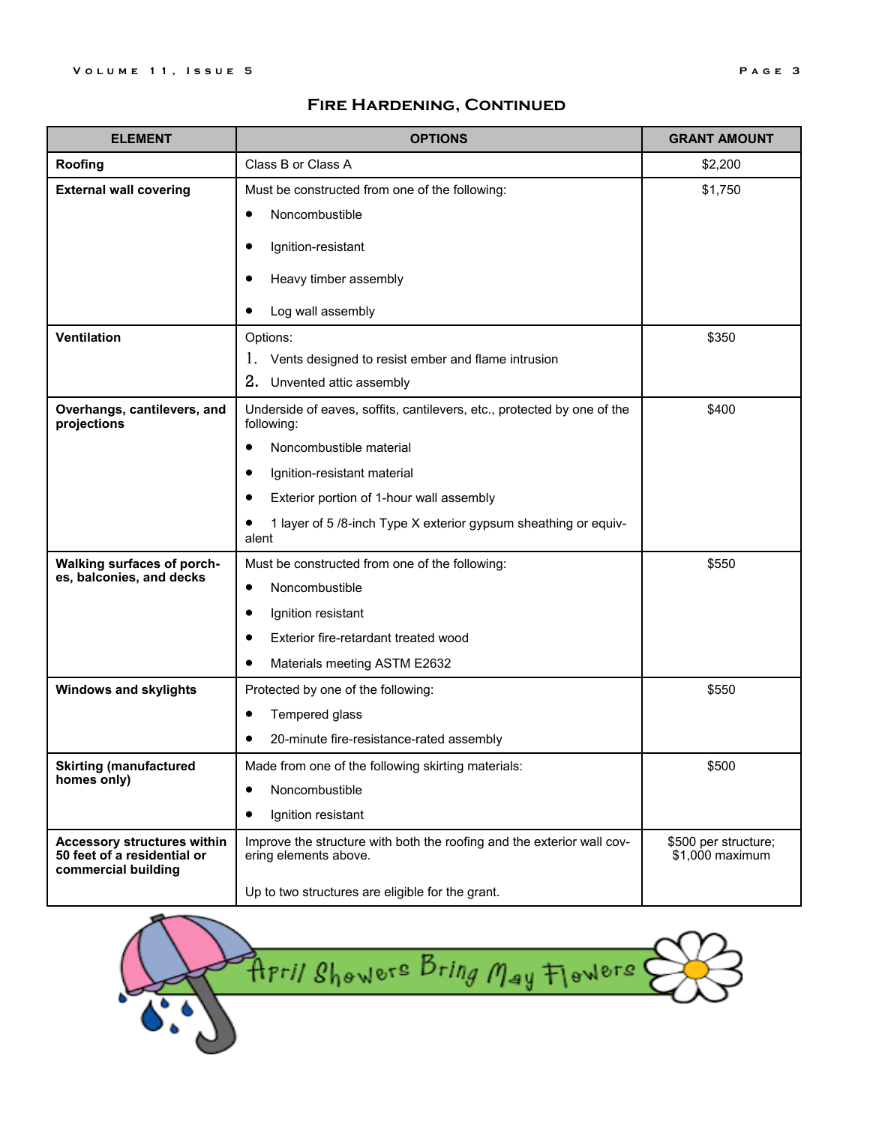## **Fire Hardening, Continued**

| <b>ELEMENT</b>                                                                           | <b>OPTIONS</b>                                                                                  | <b>GRANT AMOUNT</b>                     |
|------------------------------------------------------------------------------------------|-------------------------------------------------------------------------------------------------|-----------------------------------------|
| Roofing                                                                                  | Class B or Class A                                                                              | \$2,200                                 |
| <b>External wall covering</b>                                                            | Must be constructed from one of the following:                                                  | \$1,750                                 |
|                                                                                          | Noncombustible<br>$\bullet$                                                                     |                                         |
|                                                                                          | Ignition-resistant                                                                              |                                         |
|                                                                                          | Heavy timber assembly                                                                           |                                         |
|                                                                                          |                                                                                                 |                                         |
|                                                                                          | Log wall assembly                                                                               |                                         |
| <b>Ventilation</b>                                                                       | Options:                                                                                        | \$350                                   |
|                                                                                          | Vents designed to resist ember and flame intrusion<br>1.                                        |                                         |
|                                                                                          | 2.<br>Unvented attic assembly                                                                   |                                         |
| Overhangs, cantilevers, and<br>projections                                               | Underside of eaves, soffits, cantilevers, etc., protected by one of the<br>following:           | \$400                                   |
|                                                                                          | Noncombustible material                                                                         |                                         |
|                                                                                          | Ignition-resistant material                                                                     |                                         |
|                                                                                          | Exterior portion of 1-hour wall assembly                                                        |                                         |
|                                                                                          | 1 layer of 5 /8-inch Type X exterior gypsum sheathing or equiv-<br>alent                        |                                         |
| <b>Walking surfaces of porch-</b>                                                        | Must be constructed from one of the following:                                                  | \$550                                   |
| es, balconies, and decks                                                                 | Noncombustible                                                                                  |                                         |
|                                                                                          | Ignition resistant                                                                              |                                         |
|                                                                                          | Exterior fire-retardant treated wood                                                            |                                         |
|                                                                                          | Materials meeting ASTM E2632                                                                    |                                         |
| <b>Windows and skylights</b>                                                             | Protected by one of the following:                                                              | \$550                                   |
|                                                                                          | Tempered glass                                                                                  |                                         |
|                                                                                          | 20-minute fire-resistance-rated assembly                                                        |                                         |
| <b>Skirting (manufactured)</b>                                                           | Made from one of the following skirting materials:                                              | \$500                                   |
| homes only)                                                                              | Noncombustible<br>$\bullet$                                                                     |                                         |
|                                                                                          | Ignition resistant<br>$\bullet$                                                                 |                                         |
| <b>Accessory structures within</b><br>50 feet of a residential or<br>commercial building | Improve the structure with both the roofing and the exterior wall cov-<br>ering elements above. | \$500 per structure;<br>\$1,000 maximum |
|                                                                                          | Up to two structures are eligible for the grant.                                                |                                         |